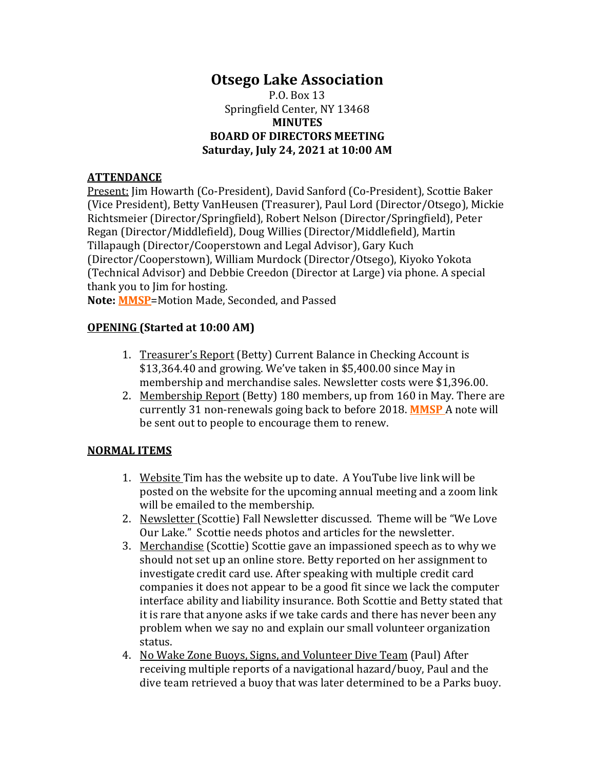# **Otsego Lake Association**

P.O. Box 13 Springfield Center, NY 13468 **MINUTES BOARD OF DIRECTORS MEETING Saturday, July 24, 2021 at 10:00 AM**

### **ATTENDANCE**

Present: Jim Howarth (Co-President), David Sanford (Co-President), Scottie Baker (Vice President), Betty VanHeusen (Treasurer), Paul Lord (Director/Otsego), Mickie Richtsmeier (Director/Springfield), Robert Nelson (Director/Springfield), Peter Regan (Director/Middlefield), Doug Willies (Director/Middlefield), Martin Tillapaugh (Director/Cooperstown and Legal Advisor), Gary Kuch (Director/Cooperstown), William Murdock (Director/Otsego), Kiyoko Yokota (Technical Advisor) and Debbie Creedon (Director at Large) via phone. A special thank you to Jim for hosting.

**Note: MMSP**=Motion Made, Seconded, and Passed

### **OPENING (Started at 10:00 AM)**

- 1. Treasurer's Report (Betty) Current Balance in Checking Account is \$13,364.40 and growing. We've taken in \$5,400.00 since May in membership and merchandise sales. Newsletter costs were \$1,396.00.
- 2. Membership Report (Betty) 180 members, up from 160 in May. There are currently 31 non-renewals going back to before 2018. **MMSP** A note will be sent out to people to encourage them to renew.

### **NORMAL ITEMS**

- 1. Website Tim has the website up to date. A YouTube live link will be posted on the website for the upcoming annual meeting and a zoom link will be emailed to the membership.
- 2. Newsletter (Scottie) Fall Newsletter discussed. Theme will be "We Love Our Lake." Scottie needs photos and articles for the newsletter.
- 3. Merchandise (Scottie) Scottie gave an impassioned speech as to why we should not set up an online store. Betty reported on her assignment to investigate credit card use. After speaking with multiple credit card companies it does not appear to be a good fit since we lack the computer interface ability and liability insurance. Both Scottie and Betty stated that it is rare that anyone asks if we take cards and there has never been any problem when we say no and explain our small volunteer organization status.
- 4. No Wake Zone Buoys, Signs, and Volunteer Dive Team (Paul) After receiving multiple reports of a navigational hazard/buoy, Paul and the dive team retrieved a buoy that was later determined to be a Parks buoy.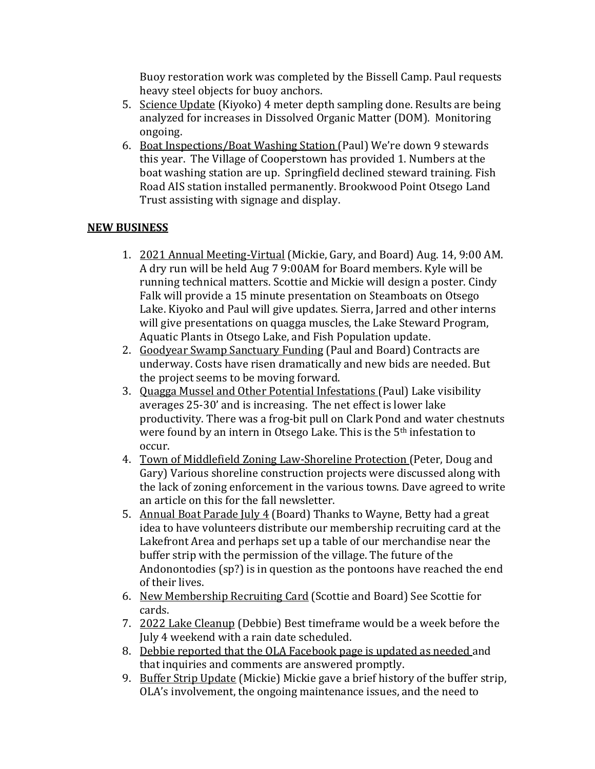Buoy restoration work was completed by the Bissell Camp. Paul requests heavy steel objects for buoy anchors.

- 5. Science Update (Kiyoko) 4 meter depth sampling done. Results are being analyzed for increases in Dissolved Organic Matter (DOM). Monitoring ongoing.
- 6. Boat Inspections/Boat Washing Station (Paul) We're down 9 stewards this year. The Village of Cooperstown has provided 1. Numbers at the boat washing station are up. Springfield declined steward training. Fish Road AIS station installed permanently. Brookwood Point Otsego Land Trust assisting with signage and display.

## **NEW BUSINESS**

- 1. 2021 Annual Meeting-Virtual (Mickie, Gary, and Board) Aug. 14, 9:00 AM. A dry run will be held Aug 7 9:00AM for Board members. Kyle will be running technical matters. Scottie and Mickie will design a poster. Cindy Falk will provide a 15 minute presentation on Steamboats on Otsego Lake. Kiyoko and Paul will give updates. Sierra, Jarred and other interns will give presentations on quagga muscles, the Lake Steward Program, Aquatic Plants in Otsego Lake, and Fish Population update.
- 2. Goodyear Swamp Sanctuary Funding (Paul and Board) Contracts are underway. Costs have risen dramatically and new bids are needed. But the project seems to be moving forward.
- 3. Quagga Mussel and Other Potential Infestations (Paul) Lake visibility averages 25-30' and is increasing. The net effect is lower lake productivity. There was a frog-bit pull on Clark Pond and water chestnuts were found by an intern in Otsego Lake. This is the 5<sup>th</sup> infestation to occur.
- 4. Town of Middlefield Zoning Law-Shoreline Protection (Peter, Doug and Gary) Various shoreline construction projects were discussed along with the lack of zoning enforcement in the various towns. Dave agreed to write an article on this for the fall newsletter.
- 5. Annual Boat Parade July 4 (Board) Thanks to Wayne, Betty had a great idea to have volunteers distribute our membership recruiting card at the Lakefront Area and perhaps set up a table of our merchandise near the buffer strip with the permission of the village. The future of the Andonontodies (sp?) is in question as the pontoons have reached the end of their lives.
- 6. New Membership Recruiting Card (Scottie and Board) See Scottie for cards.
- 7. 2022 Lake Cleanup (Debbie) Best timeframe would be a week before the July 4 weekend with a rain date scheduled.
- 8. Debbie reported that the OLA Facebook page is updated as needed and that inquiries and comments are answered promptly.
- 9. Buffer Strip Update (Mickie) Mickie gave a brief history of the buffer strip, OLA's involvement, the ongoing maintenance issues, and the need to